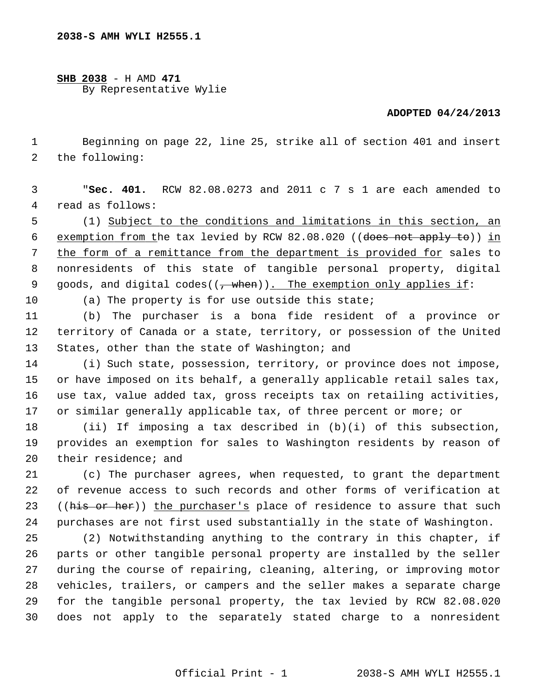## **SHB 2038** - H AMD **471** By Representative Wylie

## **ADOPTED 04/24/2013**

 1 Beginning on page 22, line 25, strike all of section 401 and insert 2 the following:

 3 "**Sec. 401.** RCW 82.08.0273 and 2011 c 7 s 1 are each amended to 4 read as follows:

 5 (1) Subject to the conditions and limitations in this section, an 6 exemption from the tax levied by RCW 82.08.020 ((does not apply to)) in 7 the form of a remittance from the department is provided for sales to 8 nonresidents of this state of tangible personal property, digital 9 goods, and digital codes( $(\frac{1}{2} + \frac{1}{2})$ . The exemption only applies if:

10 (a) The property is for use outside this state;

11 (b) The purchaser is a bona fide resident of a province or 12 territory of Canada or a state, territory, or possession of the United 13 States, other than the state of Washington; and

14 (i) Such state, possession, territory, or province does not impose, 15 or have imposed on its behalf, a generally applicable retail sales tax, 16 use tax, value added tax, gross receipts tax on retailing activities, 17 or similar generally applicable tax, of three percent or more; or

18 (ii) If imposing a tax described in (b)(i) of this subsection, 19 provides an exemption for sales to Washington residents by reason of 20 their residence; and

21 (c) The purchaser agrees, when requested, to grant the department 22 of revenue access to such records and other forms of verification at 23 ((his or her)) the purchaser's place of residence to assure that such 24 purchases are not first used substantially in the state of Washington.

25 (2) Notwithstanding anything to the contrary in this chapter, if 26 parts or other tangible personal property are installed by the seller 27 during the course of repairing, cleaning, altering, or improving motor 28 vehicles, trailers, or campers and the seller makes a separate charge 29 for the tangible personal property, the tax levied by RCW 82.08.020 30 does not apply to the separately stated charge to a nonresident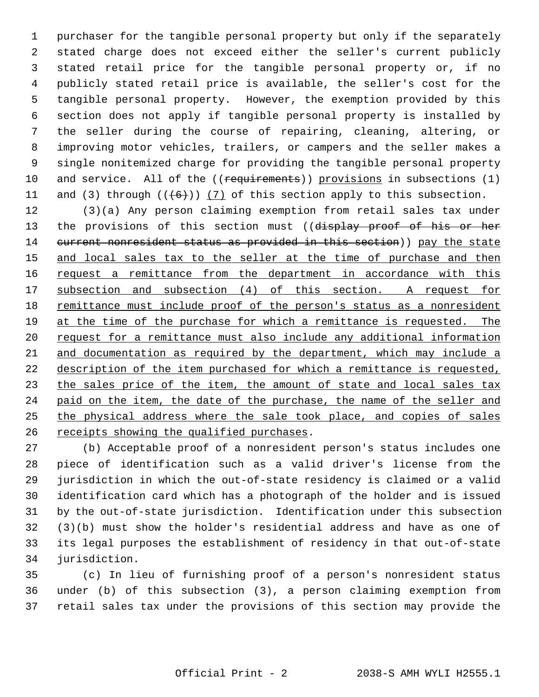1 purchaser for the tangible personal property but only if the separately 2 stated charge does not exceed either the seller's current publicly 3 stated retail price for the tangible personal property or, if no 4 publicly stated retail price is available, the seller's cost for the 5 tangible personal property. However, the exemption provided by this 6 section does not apply if tangible personal property is installed by 7 the seller during the course of repairing, cleaning, altering, or 8 improving motor vehicles, trailers, or campers and the seller makes a 9 single nonitemized charge for providing the tangible personal property 10 and service. All of the ((requirements)) provisions in subsections (1) 11 and (3) through  $((6+))$  (7) of this section apply to this subsection.

12 (3)(a) Any person claiming exemption from retail sales tax under 13 the provisions of this section must ((display proof of his or her 14 current nonresident status as provided in this section)) pay the state and local sales tax to the seller at the time of purchase and then request a remittance from the department in accordance with this subsection and subsection (4) of this section. A request for remittance must include proof of the person's status as a nonresident at the time of the purchase for which a remittance is requested. The request for a remittance must also include any additional information 21 and documentation as required by the department, which may include a description of the item purchased for which a remittance is requested, 23 the sales price of the item, the amount of state and local sales tax paid on the item, the date of the purchase, the name of the seller and the physical address where the sale took place, and copies of sales receipts showing the qualified purchases.

27 (b) Acceptable proof of a nonresident person's status includes one 28 piece of identification such as a valid driver's license from the 29 jurisdiction in which the out-of-state residency is claimed or a valid 30 identification card which has a photograph of the holder and is issued 31 by the out-of-state jurisdiction. Identification under this subsection 32 (3)(b) must show the holder's residential address and have as one of 33 its legal purposes the establishment of residency in that out-of-state 34 jurisdiction.

35 (c) In lieu of furnishing proof of a person's nonresident status 36 under (b) of this subsection (3), a person claiming exemption from 37 retail sales tax under the provisions of this section may provide the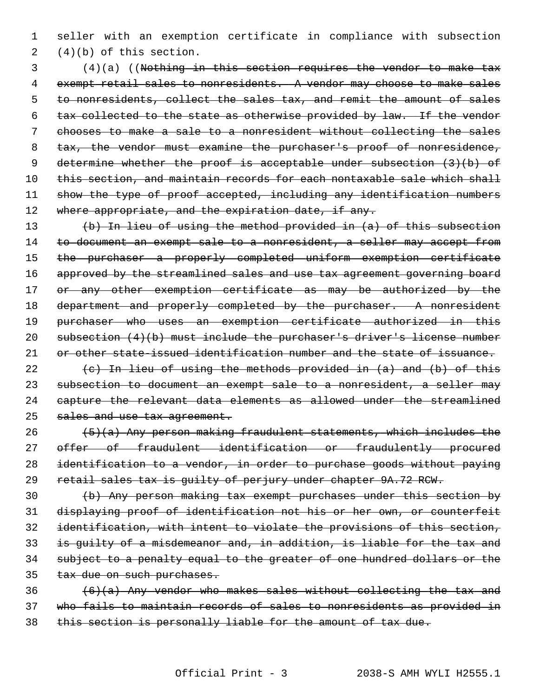1 seller with an exemption certificate in compliance with subsection 2 (4)(b) of this section.

 3 (4)(a) ((Nothing in this section requires the vendor to make tax 4 exempt retail sales to nonresidents. A vendor may choose to make sales 5 to nonresidents, collect the sales tax, and remit the amount of sales 6 tax collected to the state as otherwise provided by law. If the vendor 7 chooses to make a sale to a nonresident without collecting the sales 8 tax, the vendor must examine the purchaser's proof of nonresidence, 9 determine whether the proof is acceptable under subsection (3)(b) of 10 this section, and maintain records for each nontaxable sale which shall 11 show the type of proof accepted, including any identification numbers 12 where appropriate, and the expiration date, if any.

13 (b) In lieu of using the method provided in (a) of this subsection 14 to document an exempt sale to a nonresident, a seller may accept from 15 the purchaser a properly completed uniform exemption certificate 16 approved by the streamlined sales and use tax agreement governing board 17 or any other exemption certificate as may be authorized by the 18 department and properly completed by the purchaser. A nonresident 19 purchaser who uses an exemption certificate authorized in this 20 subsection (4)(b) must include the purchaser's driver's license number 21 or other state-issued identification number and the state of issuance.

 $(e)$  In lieu of using the methods provided in  $(a)$  and  $(b)$  of this subsection to document an exempt sale to a nonresident, a seller may capture the relevant data elements as allowed under the streamlined 25 sales and use tax agreement.

 $(5)(a)$  Any person making fraudulent statements, which includes the 27 offer of fraudulent identification or fraudulently procured identification to a vendor, in order to purchase goods without paying retail sales tax is guilty of perjury under chapter 9A.72 RCW.

 (b) Any person making tax exempt purchases under this section by displaying proof of identification not his or her own, or counterfeit identification, with intent to violate the provisions of this section, is guilty of a misdemeanor and, in addition, is liable for the tax and subject to a penalty equal to the greater of one hundred dollars or the 35 tax due on such purchases.

 $36$  (6)(a) Any vendor who makes sales without collecting the tax and 37 who fails to maintain records of sales to nonresidents as provided in 38 this section is personally liable for the amount of tax due.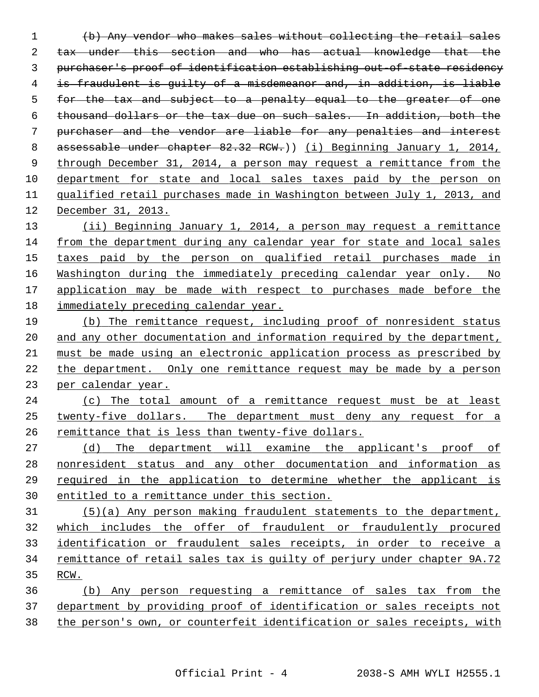(b) Any vendor who makes sales without collecting the retail sales tax under this section and who has actual knowledge that the purchaser's proof of identification establishing out-of-state residency is fraudulent is guilty of a misdemeanor and, in addition, is liable for the tax and subject to a penalty equal to the greater of one thousand dollars or the tax due on such sales. In addition, both the purchaser and the vendor are liable for any penalties and interest 8 assessable under chapter 82.32 RCW.)) (i) Beginning January 1, 2014, through December 31, 2014, a person may request a remittance from the department for state and local sales taxes paid by the person on qualified retail purchases made in Washington between July 1, 2013, and December 31, 2013. (ii) Beginning January 1, 2014, a person may request a remittance from the department during any calendar year for state and local sales taxes paid by the person on qualified retail purchases made in Washington during the immediately preceding calendar year only. No application may be made with respect to purchases made before the immediately preceding calendar year. (b) The remittance request, including proof of nonresident status and any other documentation and information required by the department, must be made using an electronic application process as prescribed by the department. Only one remittance request may be made by a person per calendar year. (c) The total amount of a remittance request must be at least twenty-five dollars. The department must deny any request for a remittance that is less than twenty-five dollars. (d) The department will examine the applicant's proof of nonresident status and any other documentation and information as required in the application to determine whether the applicant is entitled to a remittance under this section. (5)(a) Any person making fraudulent statements to the department, 32 which includes the offer of fraudulent or fraudulently procured identification or fraudulent sales receipts, in order to receive a remittance of retail sales tax is guilty of perjury under chapter 9A.72 RCW. (b) Any person requesting a remittance of sales tax from the department by providing proof of identification or sales receipts not the person's own, or counterfeit identification or sales receipts, with